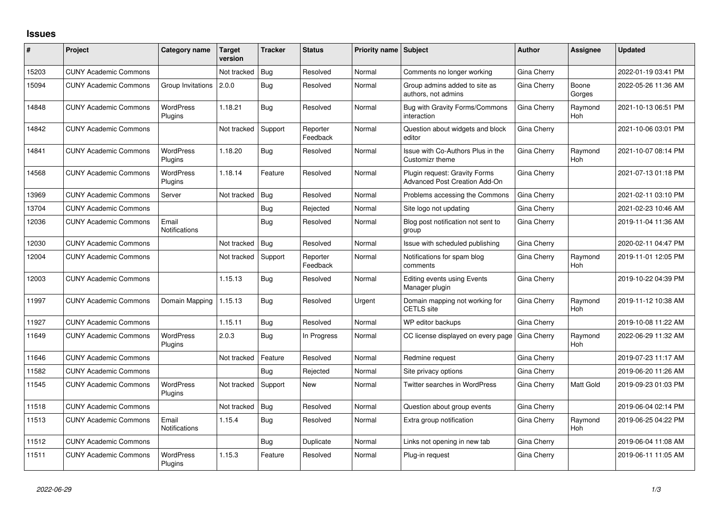## **Issues**

| #     | Project                      | Category name                 | <b>Target</b><br>version | <b>Tracker</b> | <b>Status</b>        | <b>Priority name Subject</b> |                                                                       | <b>Author</b> | Assignee              | <b>Updated</b>      |
|-------|------------------------------|-------------------------------|--------------------------|----------------|----------------------|------------------------------|-----------------------------------------------------------------------|---------------|-----------------------|---------------------|
| 15203 | <b>CUNY Academic Commons</b> |                               | Not tracked              | Bug            | Resolved             | Normal                       | Comments no longer working                                            | Gina Cherry   |                       | 2022-01-19 03:41 PM |
| 15094 | <b>CUNY Academic Commons</b> | Group Invitations             | 2.0.0                    | Bug            | Resolved             | Normal                       | Group admins added to site as<br>authors, not admins                  | Gina Cherry   | Boone<br>Gorges       | 2022-05-26 11:36 AM |
| 14848 | <b>CUNY Academic Commons</b> | <b>WordPress</b><br>Plugins   | 1.18.21                  | Bug            | Resolved             | Normal                       | Bug with Gravity Forms/Commons<br>interaction                         | Gina Cherry   | Raymond<br><b>Hoh</b> | 2021-10-13 06:51 PM |
| 14842 | <b>CUNY Academic Commons</b> |                               | Not tracked              | Support        | Reporter<br>Feedback | Normal                       | Question about widgets and block<br>editor                            | Gina Cherry   |                       | 2021-10-06 03:01 PM |
| 14841 | <b>CUNY Academic Commons</b> | <b>WordPress</b><br>Plugins   | 1.18.20                  | Bug            | Resolved             | Normal                       | Issue with Co-Authors Plus in the<br><b>Customizr theme</b>           | Gina Cherry   | Raymond<br><b>Hoh</b> | 2021-10-07 08:14 PM |
| 14568 | <b>CUNY Academic Commons</b> | <b>WordPress</b><br>Plugins   | 1.18.14                  | Feature        | Resolved             | Normal                       | Plugin request: Gravity Forms<br><b>Advanced Post Creation Add-On</b> | Gina Cherry   |                       | 2021-07-13 01:18 PM |
| 13969 | <b>CUNY Academic Commons</b> | Server                        | Not tracked              | Bug            | Resolved             | Normal                       | Problems accessing the Commons                                        | Gina Cherry   |                       | 2021-02-11 03:10 PM |
| 13704 | <b>CUNY Academic Commons</b> |                               |                          | Bug            | Rejected             | Normal                       | Site logo not updating                                                | Gina Cherry   |                       | 2021-02-23 10:46 AM |
| 12036 | <b>CUNY Academic Commons</b> | Email<br>Notifications        |                          | Bug            | Resolved             | Normal                       | Blog post notification not sent to<br>group                           | Gina Cherry   |                       | 2019-11-04 11:36 AM |
| 12030 | <b>CUNY Academic Commons</b> |                               | Not tracked              | Bug            | Resolved             | Normal                       | Issue with scheduled publishing                                       | Gina Cherry   |                       | 2020-02-11 04:47 PM |
| 12004 | <b>CUNY Academic Commons</b> |                               | Not tracked              | Support        | Reporter<br>Feedback | Normal                       | Notifications for spam blog<br>comments                               | Gina Cherry   | Raymond<br>Hoh        | 2019-11-01 12:05 PM |
| 12003 | <b>CUNY Academic Commons</b> |                               | 1.15.13                  | Bug            | Resolved             | Normal                       | <b>Editing events using Events</b><br>Manager plugin                  | Gina Cherry   |                       | 2019-10-22 04:39 PM |
| 11997 | <b>CUNY Academic Commons</b> | Domain Mapping                | 1.15.13                  | Bug            | Resolved             | Urgent                       | Domain mapping not working for<br><b>CETLS</b> site                   | Gina Cherry   | Raymond<br>Hoh        | 2019-11-12 10:38 AM |
| 11927 | <b>CUNY Academic Commons</b> |                               | 1.15.11                  | Bug            | Resolved             | Normal                       | WP editor backups                                                     | Gina Cherry   |                       | 2019-10-08 11:22 AM |
| 11649 | <b>CUNY Academic Commons</b> | <b>WordPress</b><br>Plugins   | 2.0.3                    | Bug            | In Progress          | Normal                       | CC license displayed on every page                                    | Gina Cherry   | Raymond<br><b>Hoh</b> | 2022-06-29 11:32 AM |
| 11646 | <b>CUNY Academic Commons</b> |                               | Not tracked              | Feature        | Resolved             | Normal                       | Redmine request                                                       | Gina Cherry   |                       | 2019-07-23 11:17 AM |
| 11582 | <b>CUNY Academic Commons</b> |                               |                          | Bug            | Rejected             | Normal                       | Site privacy options                                                  | Gina Cherry   |                       | 2019-06-20 11:26 AM |
| 11545 | <b>CUNY Academic Commons</b> | <b>WordPress</b><br>Plugins   | Not tracked              | Support        | <b>New</b>           | Normal                       | <b>Twitter searches in WordPress</b>                                  | Gina Cherry   | Matt Gold             | 2019-09-23 01:03 PM |
| 11518 | <b>CUNY Academic Commons</b> |                               | Not tracked              | Bug            | Resolved             | Normal                       | Question about group events                                           | Gina Cherry   |                       | 2019-06-04 02:14 PM |
| 11513 | <b>CUNY Academic Commons</b> | Email<br><b>Notifications</b> | 1.15.4                   | Bug            | Resolved             | Normal                       | Extra group notification                                              | Gina Cherry   | Raymond<br><b>Hoh</b> | 2019-06-25 04:22 PM |
| 11512 | <b>CUNY Academic Commons</b> |                               |                          | Bug            | Duplicate            | Normal                       | Links not opening in new tab                                          | Gina Cherry   |                       | 2019-06-04 11:08 AM |
| 11511 | <b>CUNY Academic Commons</b> | <b>WordPress</b><br>Plugins   | 1.15.3                   | Feature        | Resolved             | Normal                       | Plug-in request                                                       | Gina Cherry   |                       | 2019-06-11 11:05 AM |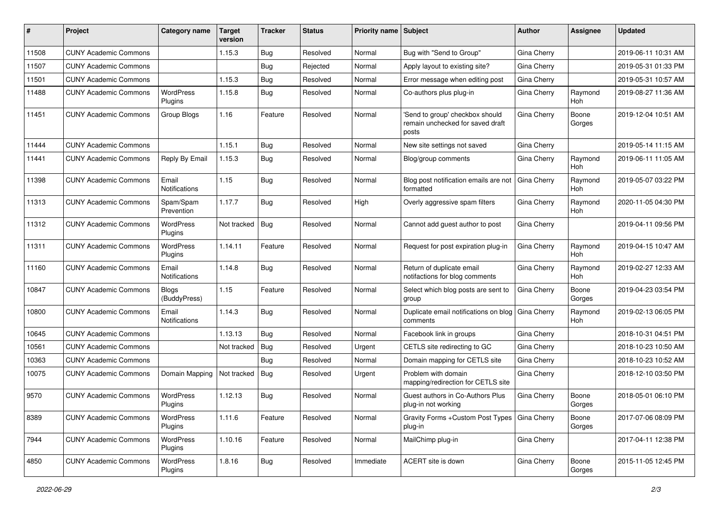| #     | Project                      | <b>Category name</b>          | <b>Target</b><br>version | <b>Tracker</b> | <b>Status</b> | Priority name Subject |                                                                              | Author             | Assignee        | <b>Updated</b>      |
|-------|------------------------------|-------------------------------|--------------------------|----------------|---------------|-----------------------|------------------------------------------------------------------------------|--------------------|-----------------|---------------------|
| 11508 | <b>CUNY Academic Commons</b> |                               | 1.15.3                   | Bug            | Resolved      | Normal                | Bug with "Send to Group"                                                     | Gina Cherry        |                 | 2019-06-11 10:31 AM |
| 11507 | <b>CUNY Academic Commons</b> |                               |                          | Bug            | Rejected      | Normal                | Apply layout to existing site?                                               | Gina Cherry        |                 | 2019-05-31 01:33 PM |
| 11501 | <b>CUNY Academic Commons</b> |                               | 1.15.3                   | Bug            | Resolved      | Normal                | Error message when editing post                                              | Gina Cherry        |                 | 2019-05-31 10:57 AM |
| 11488 | <b>CUNY Academic Commons</b> | <b>WordPress</b><br>Plugins   | 1.15.8                   | Bug            | Resolved      | Normal                | Co-authors plus plug-in                                                      | Gina Cherry        | Raymond<br>Hoh  | 2019-08-27 11:36 AM |
| 11451 | <b>CUNY Academic Commons</b> | Group Blogs                   | 1.16                     | Feature        | Resolved      | Normal                | 'Send to group' checkbox should<br>remain unchecked for saved draft<br>posts | Gina Cherry        | Boone<br>Gorges | 2019-12-04 10:51 AM |
| 11444 | <b>CUNY Academic Commons</b> |                               | 1.15.1                   | Bug            | Resolved      | Normal                | New site settings not saved                                                  | Gina Cherry        |                 | 2019-05-14 11:15 AM |
| 11441 | <b>CUNY Academic Commons</b> | Reply By Email                | 1.15.3                   | Bug            | Resolved      | Normal                | Blog/group comments                                                          | Gina Cherry        | Raymond<br>Hoh  | 2019-06-11 11:05 AM |
| 11398 | <b>CUNY Academic Commons</b> | Email<br><b>Notifications</b> | 1.15                     | Bug            | Resolved      | Normal                | Blog post notification emails are not<br>formatted                           | <b>Gina Cherry</b> | Raymond<br>Hoh  | 2019-05-07 03:22 PM |
| 11313 | <b>CUNY Academic Commons</b> | Spam/Spam<br>Prevention       | 1.17.7                   | Bug            | Resolved      | High                  | Overly aggressive spam filters                                               | Gina Cherry        | Raymond<br>Hoh  | 2020-11-05 04:30 PM |
| 11312 | <b>CUNY Academic Commons</b> | <b>WordPress</b><br>Plugins   | Not tracked              | Bug            | Resolved      | Normal                | Cannot add guest author to post                                              | Gina Cherry        |                 | 2019-04-11 09:56 PM |
| 11311 | <b>CUNY Academic Commons</b> | <b>WordPress</b><br>Plugins   | 1.14.11                  | Feature        | Resolved      | Normal                | Request for post expiration plug-in                                          | Gina Cherry        | Raymond<br>Hoh  | 2019-04-15 10:47 AM |
| 11160 | <b>CUNY Academic Commons</b> | Email<br><b>Notifications</b> | 1.14.8                   | Bug            | Resolved      | Normal                | Return of duplicate email<br>notifactions for blog comments                  | Gina Cherry        | Raymond<br>Hoh  | 2019-02-27 12:33 AM |
| 10847 | <b>CUNY Academic Commons</b> | <b>Blogs</b><br>(BuddyPress)  | 1.15                     | Feature        | Resolved      | Normal                | Select which blog posts are sent to<br>group                                 | Gina Cherry        | Boone<br>Gorges | 2019-04-23 03:54 PM |
| 10800 | <b>CUNY Academic Commons</b> | Email<br>Notifications        | 1.14.3                   | Bug            | Resolved      | Normal                | Duplicate email notifications on blog<br>comments                            | Gina Cherry        | Raymond<br>Hoh  | 2019-02-13 06:05 PM |
| 10645 | <b>CUNY Academic Commons</b> |                               | 1.13.13                  | Bug            | Resolved      | Normal                | Facebook link in groups                                                      | Gina Cherry        |                 | 2018-10-31 04:51 PM |
| 10561 | <b>CUNY Academic Commons</b> |                               | Not tracked              | Bug            | Resolved      | Urgent                | CETLS site redirecting to GC                                                 | Gina Cherry        |                 | 2018-10-23 10:50 AM |
| 10363 | <b>CUNY Academic Commons</b> |                               |                          | Bug            | Resolved      | Normal                | Domain mapping for CETLS site                                                | Gina Cherry        |                 | 2018-10-23 10:52 AM |
| 10075 | <b>CUNY Academic Commons</b> | Domain Mapping                | Not tracked              | Bug            | Resolved      | Urgent                | Problem with domain<br>mapping/redirection for CETLS site                    | Gina Cherry        |                 | 2018-12-10 03:50 PM |
| 9570  | <b>CUNY Academic Commons</b> | WordPress<br>Plugins          | 1.12.13                  | Bug            | Resolved      | Normal                | Guest authors in Co-Authors Plus<br>plug-in not working                      | Gina Cherry        | Boone<br>Gorges | 2018-05-01 06:10 PM |
| 8389  | <b>CUNY Academic Commons</b> | <b>WordPress</b><br>Plugins   | 1.11.6                   | Feature        | Resolved      | Normal                | Gravity Forms + Custom Post Types   Gina Cherry<br>plug-in                   |                    | Boone<br>Gorges | 2017-07-06 08:09 PM |
| 7944  | <b>CUNY Academic Commons</b> | <b>WordPress</b><br>Plugins   | 1.10.16                  | Feature        | Resolved      | Normal                | MailChimp plug-in                                                            | Gina Cherry        |                 | 2017-04-11 12:38 PM |
| 4850  | <b>CUNY Academic Commons</b> | WordPress<br>Plugins          | 1.8.16                   | <b>Bug</b>     | Resolved      | Immediate             | ACERT site is down                                                           | Gina Cherry        | Boone<br>Gorges | 2015-11-05 12:45 PM |